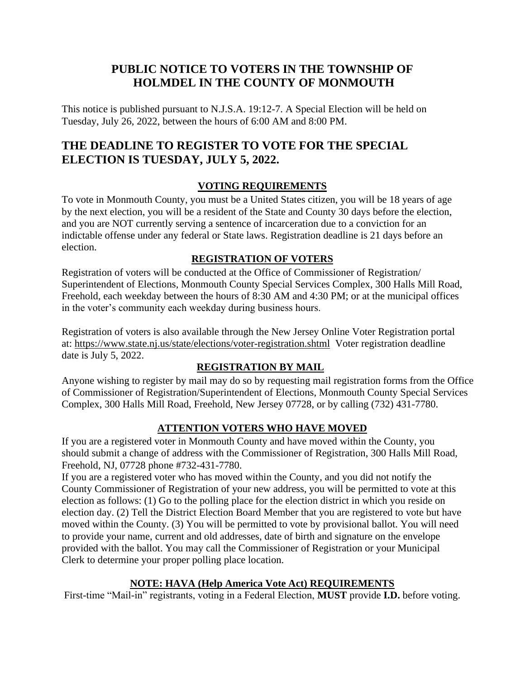## **PUBLIC NOTICE TO VOTERS IN THE TOWNSHIP OF HOLMDEL IN THE COUNTY OF MONMOUTH**

This notice is published pursuant to N.J.S.A. 19:12-7. A Special Election will be held on Tuesday, July 26, 2022, between the hours of 6:00 AM and 8:00 PM.

# **THE DEADLINE TO REGISTER TO VOTE FOR THE SPECIAL ELECTION IS TUESDAY, JULY 5, 2022.**

## **VOTING REQUIREMENTS**

To vote in Monmouth County, you must be a United States citizen, you will be 18 years of age by the next election, you will be a resident of the State and County 30 days before the election, and you are NOT currently serving a sentence of incarceration due to a conviction for an indictable offense under any federal or State laws. Registration deadline is 21 days before an election.

#### **REGISTRATION OF VOTERS**

Registration of voters will be conducted at the Office of Commissioner of Registration/ Superintendent of Elections, Monmouth County Special Services Complex, 300 Halls Mill Road, Freehold, each weekday between the hours of 8:30 AM and 4:30 PM; or at the municipal offices in the voter's community each weekday during business hours.

Registration of voters is also available through the New Jersey Online Voter Registration portal at:<https://www.state.nj.us/state/elections/voter-registration.shtml>Voter registration deadline date is July 5, 2022.

## **REGISTRATION BY MAIL**

Anyone wishing to register by mail may do so by requesting mail registration forms from the Office of Commissioner of Registration/Superintendent of Elections, Monmouth County Special Services Complex, 300 Halls Mill Road, Freehold, New Jersey 07728, or by calling (732) 431-7780.

## **ATTENTION VOTERS WHO HAVE MOVED**

If you are a registered voter in Monmouth County and have moved within the County, you should submit a change of address with the Commissioner of Registration, 300 Halls Mill Road, Freehold, NJ, 07728 phone #732-431-7780.

If you are a registered voter who has moved within the County, and you did not notify the County Commissioner of Registration of your new address, you will be permitted to vote at this election as follows: (1) Go to the polling place for the election district in which you reside on election day. (2) Tell the District Election Board Member that you are registered to vote but have moved within the County. (3) You will be permitted to vote by provisional ballot. You will need to provide your name, current and old addresses, date of birth and signature on the envelope provided with the ballot. You may call the Commissioner of Registration or your Municipal Clerk to determine your proper polling place location.

## **NOTE: HAVA (Help America Vote Act) REQUIREMENTS**

First-time "Mail-in" registrants, voting in a Federal Election, **MUST** provide **I.D.** before voting.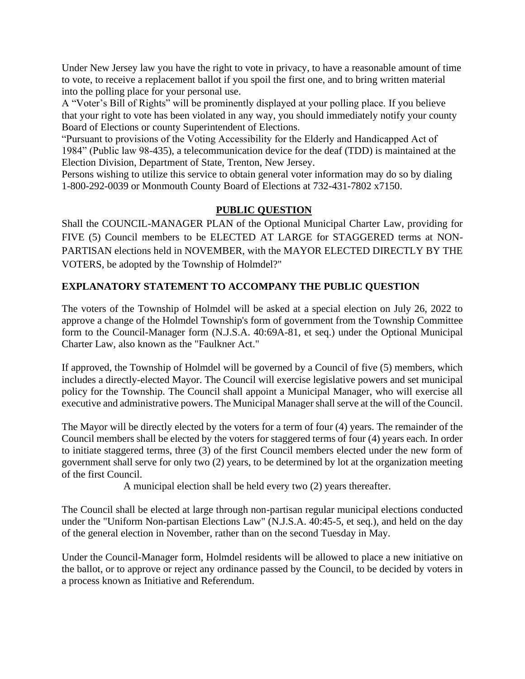Under New Jersey law you have the right to vote in privacy, to have a reasonable amount of time to vote, to receive a replacement ballot if you spoil the first one, and to bring written material into the polling place for your personal use.

A "Voter's Bill of Rights" will be prominently displayed at your polling place. If you believe that your right to vote has been violated in any way, you should immediately notify your county Board of Elections or county Superintendent of Elections.

"Pursuant to provisions of the Voting Accessibility for the Elderly and Handicapped Act of 1984" (Public law 98-435), a telecommunication device for the deaf (TDD) is maintained at the Election Division, Department of State, Trenton, New Jersey.

Persons wishing to utilize this service to obtain general voter information may do so by dialing 1-800-292-0039 or Monmouth County Board of Elections at 732-431-7802 x7150.

#### **PUBLIC QUESTION**

Shall the COUNCIL-MANAGER PLAN of the Optional Municipal Charter Law, providing for FIVE (5) Council members to be ELECTED AT LARGE for STAGGERED terms at NON-PARTISAN elections held in NOVEMBER, with the MAYOR ELECTED DIRECTLY BY THE VOTERS, be adopted by the Township of Holmdel?"

#### **EXPLANATORY STATEMENT TO ACCOMPANY THE PUBLIC QUESTION**

The voters of the Township of Holmdel will be asked at a special election on July 26, 2022 to approve a change of the Holmdel Township's form of government from the Township Committee form to the Council-Manager form (N.J.S.A. 40:69A-81, et seq.) under the Optional Municipal Charter Law, also known as the "Faulkner Act."

If approved, the Township of Holmdel will be governed by a Council of five (5) members, which includes a directly-elected Mayor. The Council will exercise legislative powers and set municipal policy for the Township. The Council shall appoint a Municipal Manager, who will exercise all executive and administrative powers. The Municipal Manager shall serve at the will of the Council.

The Mayor will be directly elected by the voters for a term of four (4) years. The remainder of the Council members shall be elected by the voters for staggered terms of four (4) years each. In order to initiate staggered terms, three (3) of the first Council members elected under the new form of government shall serve for only two (2) years, to be determined by lot at the organization meeting of the first Council.

A municipal election shall be held every two (2) years thereafter.

The Council shall be elected at large through non-partisan regular municipal elections conducted under the "Uniform Non-partisan Elections Law" (N.J.S.A. 40:45-5, et seq.), and held on the day of the general election in November, rather than on the second Tuesday in May.

Under the Council-Manager form, Holmdel residents will be allowed to place a new initiative on the ballot, or to approve or reject any ordinance passed by the Council, to be decided by voters in a process known as Initiative and Referendum.